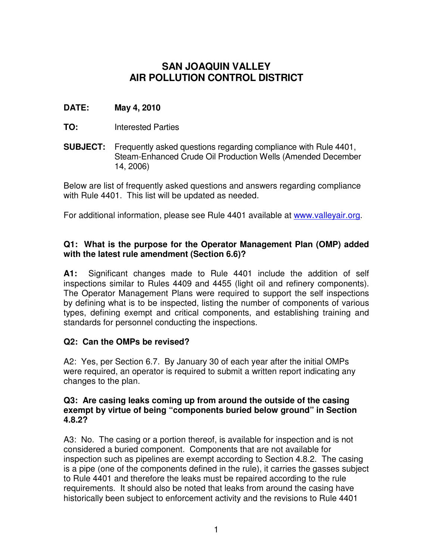# **SAN JOAQUIN VALLEY AIR POLLUTION CONTROL DISTRICT**

# **DATE: May 4, 2010**

- **TO:** Interested Parties
- **SUBJECT:** Frequently asked questions regarding compliance with Rule 4401, Steam-Enhanced Crude Oil Production Wells (Amended December 14, 2006)

Below are list of frequently asked questions and answers regarding compliance with Rule 4401. This list will be updated as needed.

For additional information, please see Rule 4401 available at www.valleyair.org.

# **Q1: What is the purpose for the Operator Management Plan (OMP) added with the latest rule amendment (Section 6.6)?**

**A1:** Significant changes made to Rule 4401 include the addition of self inspections similar to Rules 4409 and 4455 (light oil and refinery components). The Operator Management Plans were required to support the self inspections by defining what is to be inspected, listing the number of components of various types, defining exempt and critical components, and establishing training and standards for personnel conducting the inspections.

# **Q2: Can the OMPs be revised?**

A2: Yes, per Section 6.7. By January 30 of each year after the initial OMPs were required, an operator is required to submit a written report indicating any changes to the plan.

### **Q3: Are casing leaks coming up from around the outside of the casing exempt by virtue of being "components buried below ground" in Section 4.8.2?**

A3: No. The casing or a portion thereof, is available for inspection and is not considered a buried component. Components that are not available for inspection such as pipelines are exempt according to Section 4.8.2. The casing is a pipe (one of the components defined in the rule), it carries the gasses subject to Rule 4401 and therefore the leaks must be repaired according to the rule requirements. It should also be noted that leaks from around the casing have historically been subject to enforcement activity and the revisions to Rule 4401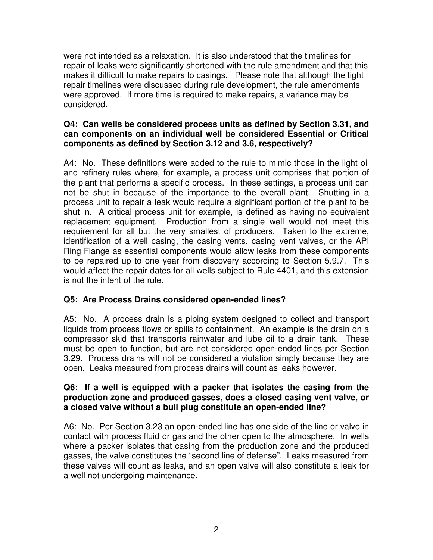were not intended as a relaxation. It is also understood that the timelines for repair of leaks were significantly shortened with the rule amendment and that this makes it difficult to make repairs to casings. Please note that although the tight repair timelines were discussed during rule development, the rule amendments were approved. If more time is required to make repairs, a variance may be considered.

# **Q4: Can wells be considered process units as defined by Section 3.31, and can components on an individual well be considered Essential or Critical components as defined by Section 3.12 and 3.6, respectively?**

A4: No. These definitions were added to the rule to mimic those in the light oil and refinery rules where, for example, a process unit comprises that portion of the plant that performs a specific process. In these settings, a process unit can not be shut in because of the importance to the overall plant. Shutting in a process unit to repair a leak would require a significant portion of the plant to be shut in. A critical process unit for example, is defined as having no equivalent replacement equipment. Production from a single well would not meet this requirement for all but the very smallest of producers. Taken to the extreme, identification of a well casing, the casing vents, casing vent valves, or the API Ring Flange as essential components would allow leaks from these components to be repaired up to one year from discovery according to Section 5.9.7. This would affect the repair dates for all wells subject to Rule 4401, and this extension is not the intent of the rule.

# **Q5: Are Process Drains considered open-ended lines?**

A5: No. A process drain is a piping system designed to collect and transport liquids from process flows or spills to containment. An example is the drain on a compressor skid that transports rainwater and lube oil to a drain tank. These must be open to function, but are not considered open-ended lines per Section 3.29. Process drains will not be considered a violation simply because they are open. Leaks measured from process drains will count as leaks however.

# **Q6: If a well is equipped with a packer that isolates the casing from the production zone and produced gasses, does a closed casing vent valve, or a closed valve without a bull plug constitute an open-ended line?**

A6: No. Per Section 3.23 an open-ended line has one side of the line or valve in contact with process fluid or gas and the other open to the atmosphere. In wells where a packer isolates that casing from the production zone and the produced gasses, the valve constitutes the "second line of defense". Leaks measured from these valves will count as leaks, and an open valve will also constitute a leak for a well not undergoing maintenance.